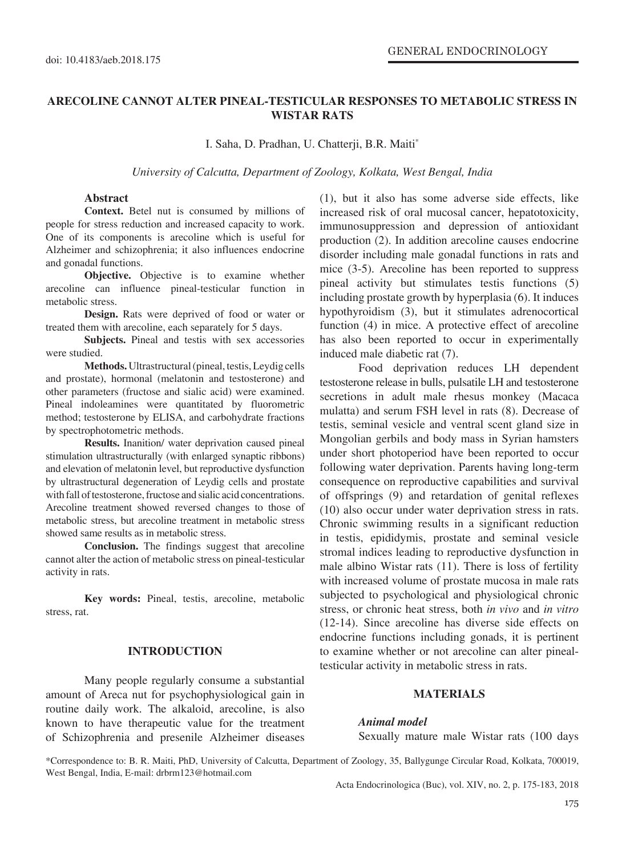# **ARECOLINE CANNOT ALTER PINEAL-TESTICULAR RESPONSES TO METABOLIC STRESS IN WISTAR RATS**

I. Saha, D. Pradhan, U. Chatterji, B.R. Maiti\*

*University of Calcutta, Department of Zoology, Kolkata, West Bengal, India*

## **Abstract**

**Context.** Betel nut is consumed by millions of people for stress reduction and increased capacity to work. One of its components is arecoline which is useful for Alzheimer and schizophrenia; it also influences endocrine and gonadal functions.

**Objective.** Objective is to examine whether arecoline can influence pineal-testicular function in metabolic stress.

**Design.** Rats were deprived of food or water or treated them with arecoline, each separately for 5 days.

**Subjects.** Pineal and testis with sex accessories were studied.

**Methods.** Ultrastructural (pineal, testis, Leydig cells and prostate), hormonal (melatonin and testosterone) and other parameters (fructose and sialic acid) were examined. Pineal indoleamines were quantitated by fluorometric method; testosterone by ELISA, and carbohydrate fractions by spectrophotometric methods.

**Results.** Inanition/ water deprivation caused pineal stimulation ultrastructurally (with enlarged synaptic ribbons) and elevation of melatonin level, but reproductive dysfunction by ultrastructural degeneration of Leydig cells and prostate with fall of testosterone, fructose and sialic acid concentrations. Arecoline treatment showed reversed changes to those of metabolic stress, but arecoline treatment in metabolic stress showed same results as in metabolic stress.

**Conclusion.** The findings suggest that arecoline cannot alter the action of metabolic stress on pineal-testicular activity in rats.

**Key words:** Pineal, testis, arecoline, metabolic stress, rat.

### **INTRODUCTION**

Many people regularly consume a substantial amount of Areca nut for psychophysiological gain in routine daily work. The alkaloid, arecoline, is also known to have therapeutic value for the treatment of Schizophrenia and presenile Alzheimer diseases (1), but it also has some adverse side effects, like increased risk of oral mucosal cancer, hepatotoxicity, immunosuppression and depression of antioxidant production (2). In addition arecoline causes endocrine disorder including male gonadal functions in rats and mice (3-5). Arecoline has been reported to suppress pineal activity but stimulates testis functions (5) including prostate growth by hyperplasia (6). It induces hypothyroidism (3), but it stimulates adrenocortical function (4) in mice. A protective effect of arecoline has also been reported to occur in experimentally induced male diabetic rat (7).

Food deprivation reduces LH dependent testosterone release in bulls, pulsatile LH and testosterone secretions in adult male rhesus monkey (Macaca mulatta) and serum FSH level in rats (8). Decrease of testis, seminal vesicle and ventral scent gland size in Mongolian gerbils and body mass in Syrian hamsters under short photoperiod have been reported to occur following water deprivation. Parents having long-term consequence on reproductive capabilities and survival of offsprings (9) and retardation of genital reflexes (10) also occur under water deprivation stress in rats. Chronic swimming results in a significant reduction in testis, epididymis, prostate and seminal vesicle stromal indices leading to reproductive dysfunction in male albino Wistar rats (11). There is loss of fertility with increased volume of prostate mucosa in male rats subjected to psychological and physiological chronic stress, or chronic heat stress, both *in vivo* and *in vitro*  (12-14). Since arecoline has diverse side effects on endocrine functions including gonads, it is pertinent to examine whether or not arecoline can alter pinealtesticular activity in metabolic stress in rats.

## **MATERIALS**

#### *Animal model*

Sexually mature male Wistar rats (100 days

\*Correspondence to: B. R. Maiti, PhD, University of Calcutta, Department of Zoology, 35, Ballygunge Circular Road, Kolkata, 700019, West Bengal, India, E-mail: drbrm123@hotmail.com

Acta Endocrinologica (Buc), vol. XIV, no. 2, p. 175-183, 2018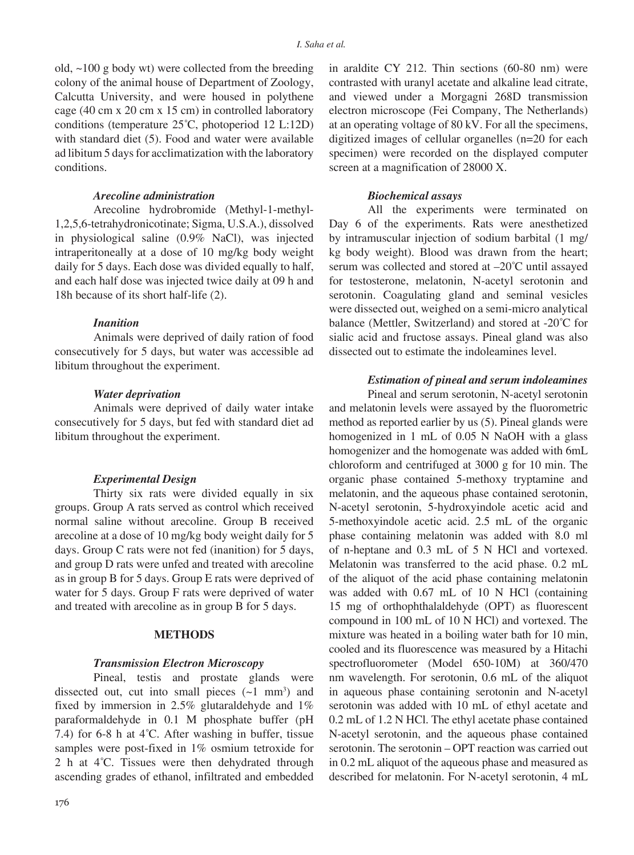old, ~100 g body wt) were collected from the breeding colony of the animal house of Department of Zoology, Calcutta University, and were housed in polythene cage (40 cm x 20 cm x 15 cm) in controlled laboratory conditions (temperature 25°C, photoperiod 12 L:12D) with standard diet (5). Food and water were available ad libitum 5 days for acclimatization with the laboratory conditions.

## *Arecoline administration*

Arecoline hydrobromide (Methyl-1-methyl-1,2,5,6-tetrahydronicotinate; Sigma, U.S.A.), dissolved in physiological saline (0.9% NaCl), was injected intraperitoneally at a dose of 10 mg/kg body weight daily for 5 days. Each dose was divided equally to half, and each half dose was injected twice daily at 09 h and 18h because of its short half-life (2).

## *Inanition*

Animals were deprived of daily ration of food consecutively for 5 days, but water was accessible ad libitum throughout the experiment.

#### *Water deprivation*

Animals were deprived of daily water intake consecutively for 5 days, but fed with standard diet ad libitum throughout the experiment.

## *Experimental Design*

Thirty six rats were divided equally in six groups. Group A rats served as control which received normal saline without arecoline. Group B received arecoline at a dose of 10 mg/kg body weight daily for 5 days. Group C rats were not fed (inanition) for 5 days, and group D rats were unfed and treated with arecoline as in group B for 5 days. Group E rats were deprived of water for 5 days. Group F rats were deprived of water and treated with arecoline as in group B for 5 days.

### **METHODS**

#### *Transmission Electron Microscopy*

Pineal, testis and prostate glands were dissected out, cut into small pieces  $(-1 \text{ mm}^3)$  and fixed by immersion in 2.5% glutaraldehyde and 1% paraformaldehyde in 0.1 M phosphate buffer (pH 7.4) for 6-8 h at  $4^{\circ}$ C. After washing in buffer, tissue samples were post-fixed in 1% osmium tetroxide for 2 h at  $4^{\circ}$ C. Tissues were then dehydrated through ascending grades of ethanol, infiltrated and embedded

176

in araldite CY 212. Thin sections (60-80 nm) were contrasted with uranyl acetate and alkaline lead citrate, and viewed under a Morgagni 268D transmission electron microscope (Fei Company, The Netherlands) at an operating voltage of 80 kV. For all the specimens, digitized images of cellular organelles (n=20 for each specimen) were recorded on the displayed computer screen at a magnification of 28000 X.

## *Biochemical assays*

All the experiments were terminated on Day 6 of the experiments. Rats were anesthetized by intramuscular injection of sodium barbital (1 mg/ kg body weight). Blood was drawn from the heart; serum was collected and stored at –20°C until assayed for testosterone, melatonin, N-acetyl serotonin and serotonin. Coagulating gland and seminal vesicles were dissected out, weighed on a semi-micro analytical balance (Mettler, Switzerland) and stored at -20°C for sialic acid and fructose assays. Pineal gland was also dissected out to estimate the indoleamines level.

### *Estimation of pineal and serum indoleamines*

Pineal and serum serotonin, N-acetyl serotonin and melatonin levels were assayed by the fluorometric method as reported earlier by us (5). Pineal glands were homogenized in 1 mL of 0.05 N NaOH with a glass homogenizer and the homogenate was added with 6mL chloroform and centrifuged at 3000 g for 10 min. The organic phase contained 5-methoxy tryptamine and melatonin, and the aqueous phase contained serotonin, N-acetyl serotonin, 5-hydroxyindole acetic acid and 5-methoxyindole acetic acid. 2.5 mL of the organic phase containing melatonin was added with 8.0 ml of n-heptane and 0.3 mL of 5 N HCl and vortexed. Melatonin was transferred to the acid phase. 0.2 mL of the aliquot of the acid phase containing melatonin was added with 0.67 mL of 10 N HCl (containing 15 mg of orthophthalaldehyde (OPT) as fluorescent compound in 100 mL of 10 N HCl) and vortexed. The mixture was heated in a boiling water bath for 10 min, cooled and its fluorescence was measured by a Hitachi spectrofluorometer (Model 650-10M) at 360/470 nm wavelength. For serotonin, 0.6 mL of the aliquot in aqueous phase containing serotonin and N-acetyl serotonin was added with 10 mL of ethyl acetate and 0.2 mL of 1.2 N HCl. The ethyl acetate phase contained N-acetyl serotonin, and the aqueous phase contained serotonin. The serotonin – OPT reaction was carried out in 0.2 mL aliquot of the aqueous phase and measured as described for melatonin. For N-acetyl serotonin, 4 mL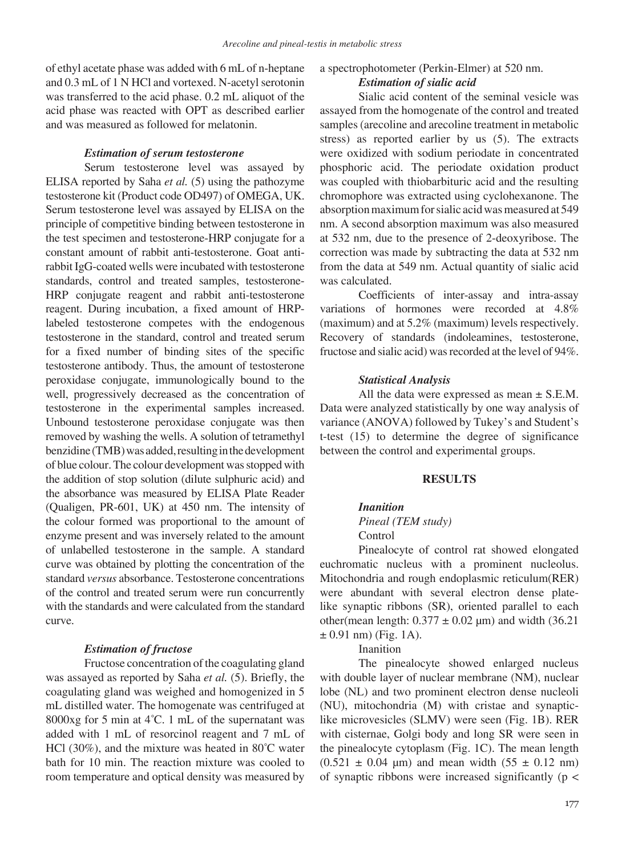of ethyl acetate phase was added with 6 mL of n-heptane and 0.3 mL of 1 N HCl and vortexed. N-acetyl serotonin was transferred to the acid phase. 0.2 mL aliquot of the acid phase was reacted with OPT as described earlier and was measured as followed for melatonin.

## *Estimation of serum testosterone*

Serum testosterone level was assayed by ELISA reported by Saha *et al.* (5) using the pathozyme testosterone kit (Product code OD497) of OMEGA, UK. Serum testosterone level was assayed by ELISA on the principle of competitive binding between testosterone in the test specimen and testosterone-HRP conjugate for a constant amount of rabbit anti-testosterone. Goat antirabbit IgG-coated wells were incubated with testosterone standards, control and treated samples, testosterone-HRP conjugate reagent and rabbit anti-testosterone reagent. During incubation, a fixed amount of HRPlabeled testosterone competes with the endogenous testosterone in the standard, control and treated serum for a fixed number of binding sites of the specific testosterone antibody. Thus, the amount of testosterone peroxidase conjugate, immunologically bound to the well, progressively decreased as the concentration of testosterone in the experimental samples increased. Unbound testosterone peroxidase conjugate was then removed by washing the wells. A solution of tetramethyl benzidine (TMB) was added, resulting in the development of blue colour. The colour development was stopped with the addition of stop solution (dilute sulphuric acid) and the absorbance was measured by ELISA Plate Reader (Qualigen, PR-601, UK) at 450 nm. The intensity of the colour formed was proportional to the amount of enzyme present and was inversely related to the amount of unlabelled testosterone in the sample. A standard curve was obtained by plotting the concentration of the standard *versus* absorbance. Testosterone concentrations of the control and treated serum were run concurrently with the standards and were calculated from the standard curve.

### *Estimation of fructose*

Fructose concentration of the coagulating gland was assayed as reported by Saha *et al.* (5). Briefly, the coagulating gland was weighed and homogenized in 5 mL distilled water. The homogenate was centrifuged at 8000xg for 5 min at  $4^{\circ}$ C. 1 mL of the supernatant was added with 1 mL of resorcinol reagent and 7 mL of HCl (30%), and the mixture was heated in  $80^{\circ}$ C water bath for 10 min. The reaction mixture was cooled to room temperature and optical density was measured by

## a spectrophotometer (Perkin-Elmer) at 520 nm. *Estimation of sialic acid*

Sialic acid content of the seminal vesicle was assayed from the homogenate of the control and treated samples (arecoline and arecoline treatment in metabolic stress) as reported earlier by us (5). The extracts were oxidized with sodium periodate in concentrated phosphoric acid. The periodate oxidation product was coupled with thiobarbituric acid and the resulting chromophore was extracted using cyclohexanone. The absorption maximum for sialic acid was measured at 549 nm. A second absorption maximum was also measured at 532 nm, due to the presence of 2-deoxyribose. The correction was made by subtracting the data at 532 nm from the data at 549 nm. Actual quantity of sialic acid was calculated.

Coefficients of inter-assay and intra-assay variations of hormones were recorded at 4.8% (maximum) and at 5.2% (maximum) levels respectively. Recovery of standards (indoleamines, testosterone, fructose and sialic acid) was recorded at the level of 94%.

## *Statistical Analysis*

All the data were expressed as mean ± S.E.M. Data were analyzed statistically by one way analysis of variance (ANOVA) followed by Tukey's and Student's t-test (15) to determine the degree of significance between the control and experimental groups.

### **RESULTS**

## *Inanition*

## *Pineal (TEM study)* Control

Pinealocyte of control rat showed elongated euchromatic nucleus with a prominent nucleolus. Mitochondria and rough endoplasmic reticulum(RER) were abundant with several electron dense platelike synaptic ribbons (SR), oriented parallel to each other(mean length:  $0.377 \pm 0.02$  µm) and width (36.21  $\pm$  0.91 nm) (Fig. 1A).

### Inanition

The pinealocyte showed enlarged nucleus with double layer of nuclear membrane (NM), nuclear lobe (NL) and two prominent electron dense nucleoli (NU), mitochondria (M) with cristae and synapticlike microvesicles (SLMV) were seen (Fig. 1B). RER with cisternae, Golgi body and long SR were seen in the pinealocyte cytoplasm (Fig. 1C). The mean length  $(0.521 \pm 0.04 \mu m)$  and mean width  $(55 \pm 0.12 \mu m)$ of synaptic ribbons were increased significantly ( $p <$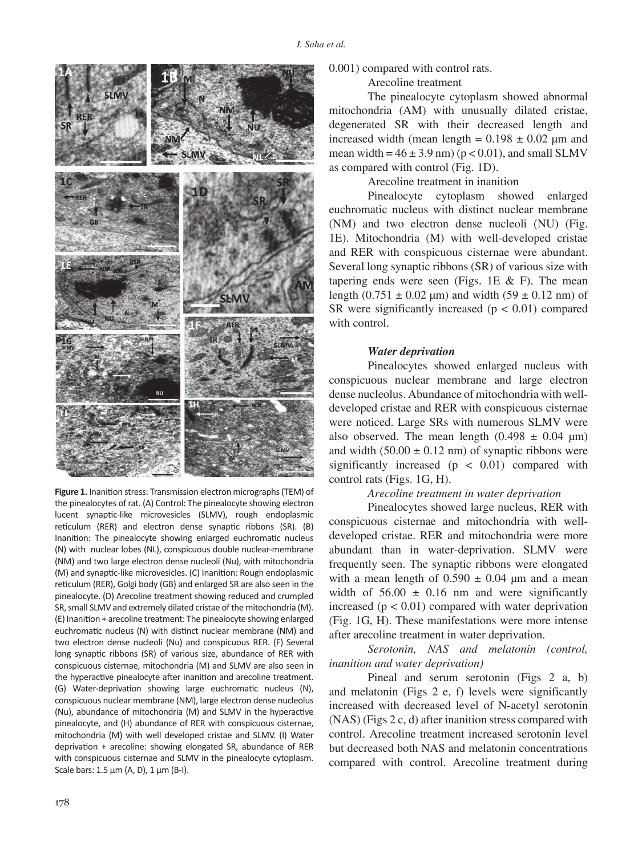

**Figure 1.** Inanition stress: Transmission electron micrographs (TEM) of the pinealocytes of rat. (A) Control: The pinealocyte showing electron lucent synaptic-like microvesicles (SLMV), rough endoplasmic reticulum (RER) and electron dense synaptic ribbons (SR). (B) Inanition: The pinealocyte showing enlarged euchromatic nucleus (N) with nuclear lobes (NL), conspicuous double nuclear-membrane (NM) and two large electron dense nucleoli (Nu), with mitochondria (M) and synaptic-like microvesicles. (C) Inanition: Rough endoplasmic reticulum (RER), Golgi body (GB) and enlarged SR are also seen in the pinealocyte. (D) Arecoline treatment showing reduced and crumpled SR, small SLMV and extremely dilated cristae of the mitochondria (M). (E) Inanition + arecoline treatment: The pinealocyte showing enlarged euchromatic nucleus (N) with distinct nuclear membrane (NM) and two electron dense nucleoli (Nu) and conspicuous RER. (F) Several long synaptic ribbons (SR) of various size, abundance of RER with conspicuous cisternae, mitochondria (M) and SLMV are also seen in the hyperactive pinealocyte after inanition and arecoline treatment. (G) Water-deprivation showing large euchromatic nucleus (N), conspicuous nuclear membrane (NM), large electron dense nucleolus (Nu), abundance of mitochondria (M) and SLMV in the hyperactive pinealocyte, and (H) abundance of RER with conspicuous cisternae, mitochondria (M) with well developed cristae and SLMV. (I) Water deprivation + arecoline: showing elongated SR, abundance of RER with conspicuous cisternae and SLMV in the pinealocyte cytoplasm. Scale bars:  $1.5 \mu m$  (A, D),  $1 \mu m$  (B-I).

## 0.001) compared with control rats.

## Arecoline treatment

The pinealocyte cytoplasm showed abnormal mitochondria (AM) with unusually dilated cristae, degenerated SR with their decreased length and increased width (mean length =  $0.198 \pm 0.02$  um and mean width =  $46 \pm 3.9$  nm) ( $p < 0.01$ ), and small SLMV as compared with control (Fig. 1D).

Arecoline treatment in inanition

Pinealocyte cytoplasm showed enlarged euchromatic nucleus with distinct nuclear membrane (NM) and two electron dense nucleoli (NU) (Fig. 1E). Mitochondria (M) with well-developed cristae and RER with conspicuous cisternae were abundant. Several long synaptic ribbons (SR) of various size with tapering ends were seen (Figs. 1E  $&$  F). The mean length (0.751  $\pm$  0.02 µm) and width (59  $\pm$  0.12 nm) of SR were significantly increased  $(p < 0.01)$  compared with control.

#### *Water deprivation*

Pinealocytes showed enlarged nucleus with conspicuous nuclear membrane and large electron dense nucleolus. Abundance of mitochondria with welldeveloped cristae and RER with conspicuous cisternae were noticed. Large SRs with numerous SLMV were also observed. The mean length  $(0.498 \pm 0.04 \text{ }\mu\text{m})$ and width  $(50.00 \pm 0.12 \text{ nm})$  of synaptic ribbons were significantly increased  $(p < 0.01)$  compared with control rats (Figs. 1G, H).

## *Arecoline treatment in water deprivation*

Pinealocytes showed large nucleus, RER with conspicuous cisternae and mitochondria with welldeveloped cristae. RER and mitochondria were more abundant than in water-deprivation. SLMV were frequently seen. The synaptic ribbons were elongated with a mean length of  $0.590 \pm 0.04$  µm and a mean width of  $56.00 \pm 0.16$  nm and were significantly increased  $(p < 0.01)$  compared with water deprivation (Fig. 1G, H). These manifestations were more intense after arecoline treatment in water deprivation.

*Serotonin, NAS and melatonin (control, inanition and water deprivation)*

Pineal and serum serotonin (Figs 2 a, b) and melatonin (Figs 2 e, f) levels were significantly increased with decreased level of N-acetyl serotonin (NAS) (Figs 2 c, d) after inanition stress compared with control. Arecoline treatment increased serotonin level but decreased both NAS and melatonin concentrations compared with control. Arecoline treatment during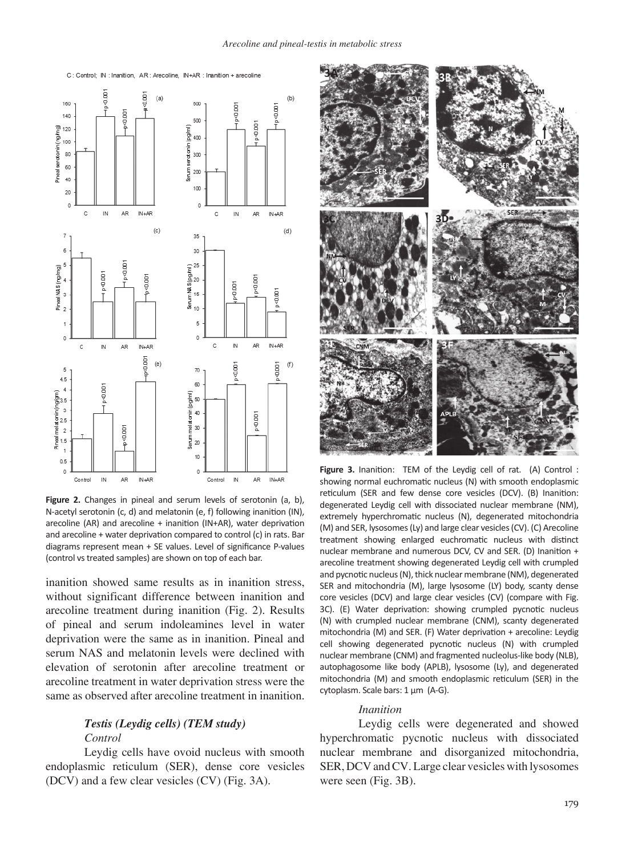

**Figure 2.** Changes in pineal and serum levels of serotonin (a, b), N-acetyl serotonin (c, d) and melatonin (e, f) following inanition (IN), arecoline (AR) and arecoline + inanition (IN+AR), water deprivation and arecoline + water deprivation compared to control (c) in rats. Bar diagrams represent mean + SE values. Level of significance P-values (control vs treated samples) are shown on top of each bar.

inanition showed same results as in inanition stress, without significant difference between inanition and arecoline treatment during inanition (Fig. 2). Results of pineal and serum indoleamines level in water deprivation were the same as in inanition. Pineal and serum NAS and melatonin levels were declined with elevation of serotonin after arecoline treatment or arecoline treatment in water deprivation stress were the same as observed after arecoline treatment in inanition.

## *Testis (Leydig cells) (TEM study) Control*

Leydig cells have ovoid nucleus with smooth endoplasmic reticulum (SER), dense core vesicles (DCV) and a few clear vesicles (CV) (Fig. 3A).



**Figure 3.** Inanition: TEM of the Leydig cell of rat. (A) Control : showing normal euchromatic nucleus (N) with smooth endoplasmic reticulum (SER and few dense core vesicles (DCV). (B) Inanition: degenerated Leydig cell with dissociated nuclear membrane (NM), extremely hyperchromatic nucleus (N), degenerated mitochondria (M) and SER, lysosomes (Ly) and large clear vesicles (CV). (C) Arecoline treatment showing enlarged euchromatic nucleus with distinct nuclear membrane and numerous DCV, CV and SER. (D) Inanition + arecoline treatment showing degenerated Leydig cell with crumpled and pycnotic nucleus (N), thick nuclear membrane (NM), degenerated SER and mitochondria (M), large lysosome (LY) body, scanty dense core vesicles (DCV) and large clear vesicles (CV) (compare with Fig. 3C). (E) Water deprivation: showing crumpled pycnotic nucleus (N) with crumpled nuclear membrane (CNM), scanty degenerated mitochondria (M) and SER. (F) Water deprivation + arecoline: Leydig cell showing degenerated pycnotic nucleus (N) with crumpled nuclear membrane (CNM) and fragmented nucleolus-like body (NLB), autophagosome like body (APLB), lysosome (Ly), and degenerated mitochondria (M) and smooth endoplasmic reticulum (SER) in the cytoplasm. Scale bars: 1 µm (A-G).

## *Inanition*

Leydig cells were degenerated and showed hyperchromatic pycnotic nucleus with dissociated nuclear membrane and disorganized mitochondria, SER, DCV and CV. Large clear vesicles with lysosomes were seen (Fig. 3B).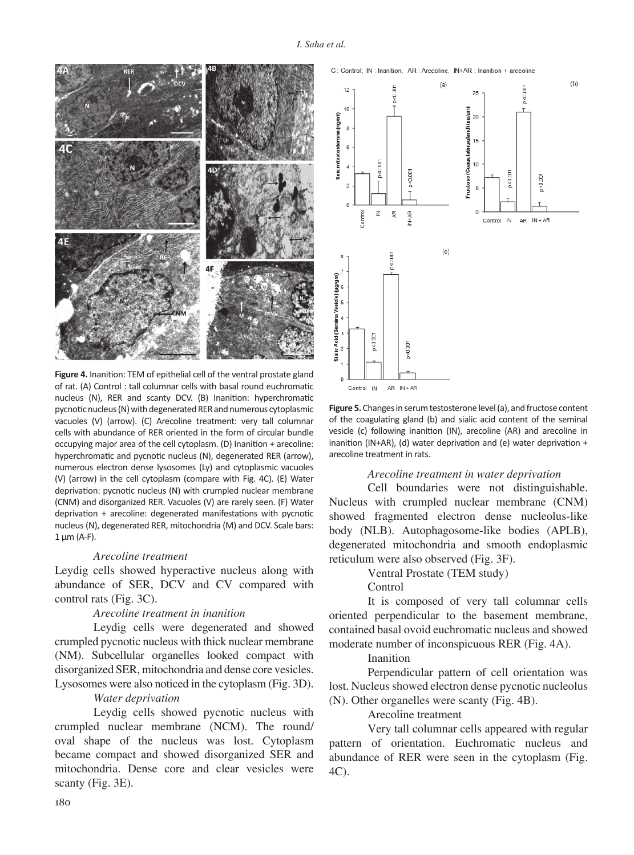

**Figure 4.** Inanition: TEM of epithelial cell of the ventral prostate gland of rat. (A) Control : tall columnar cells with basal round euchromatic nucleus (N), RER and scanty DCV. (B) Inanition: hyperchromatic pycnotic nucleus (N) with degenerated RER and numerous cytoplasmic vacuoles (V) (arrow). (C) Arecoline treatment: very tall columnar cells with abundance of RER oriented in the form of circular bundle occupying major area of the cell cytoplasm. (D) Inanition + arecoline: hyperchromatic and pycnotic nucleus (N), degenerated RER (arrow), numerous electron dense lysosomes (Ly) and cytoplasmic vacuoles (V) (arrow) in the cell cytoplasm (compare with Fig. 4C). (E) Water deprivation: pycnotic nucleus (N) with crumpled nuclear membrane (CNM) and disorganized RER. Vacuoles (V) are rarely seen. (F) Water deprivation + arecoline: degenerated manifestations with pycnotic nucleus (N), degenerated RER, mitochondria (M) and DCV. Scale bars:  $1 \mu m$  (A-F).

### *Arecoline treatment*

Leydig cells showed hyperactive nucleus along with abundance of SER, DCV and CV compared with control rats (Fig. 3C).

## *Arecoline treatment in inanition*

Leydig cells were degenerated and showed crumpled pycnotic nucleus with thick nuclear membrane (NM). Subcellular organelles looked compact with disorganized SER, mitochondria and dense core vesicles. Lysosomes were also noticed in the cytoplasm (Fig. 3D).

## *Water deprivation*

Leydig cells showed pycnotic nucleus with crumpled nuclear membrane (NCM). The round/ oval shape of the nucleus was lost. Cytoplasm became compact and showed disorganized SER and mitochondria. Dense core and clear vesicles were scanty (Fig. 3E).



 $(b)$  $(a)$ p<0.001  $12$  $25$  $10$ unional Serumtestosterone (ng/ml)  $20^{1}$  $\overline{8}$ ating glan  $15^{1}$  $\overline{6}$ nuctose (Coagu p<0.001  $10<sup>10</sup>$  $p < 0.001$ holp.c  $-0.007$  $\geq$  $\frac{R}{2}$ ontrol  $\frac{\alpha}{\alpha}$ Control IN AR IN+AR  $(c)$  $0.0076$ (ua/am kcid (Semina p<0.001 p<0.001  $\overline{z}$  $AR$   $IN + AR$ Control IN

C: Control: IN: Inanition. AR: Arecoline. IN+AR: Inanition + arecoline

**Figure 5.** Changes in serum testosterone level (a), and fructose content of the coagulating gland (b) and sialic acid content of the seminal vesicle (c) following inanition (IN), arecoline (AR) and arecoline in inanition (IN+AR), (d) water deprivation and (e) water deprivation + arecoline treatment in rats.

#### *Arecoline treatment in water deprivation*

Cell boundaries were not distinguishable. Nucleus with crumpled nuclear membrane (CNM) showed fragmented electron dense nucleolus-like body (NLB). Autophagosome-like bodies (APLB), degenerated mitochondria and smooth endoplasmic reticulum were also observed (Fig. 3F).

### Ventral Prostate (TEM study)

#### Control

It is composed of very tall columnar cells oriented perpendicular to the basement membrane, contained basal ovoid euchromatic nucleus and showed moderate number of inconspicuous RER (Fig. 4A).

#### Inanition

Perpendicular pattern of cell orientation was lost. Nucleus showed electron dense pycnotic nucleolus (N). Other organelles were scanty (Fig. 4B).

### Arecoline treatment

Very tall columnar cells appeared with regular pattern of orientation. Euchromatic nucleus and abundance of RER were seen in the cytoplasm (Fig. 4C).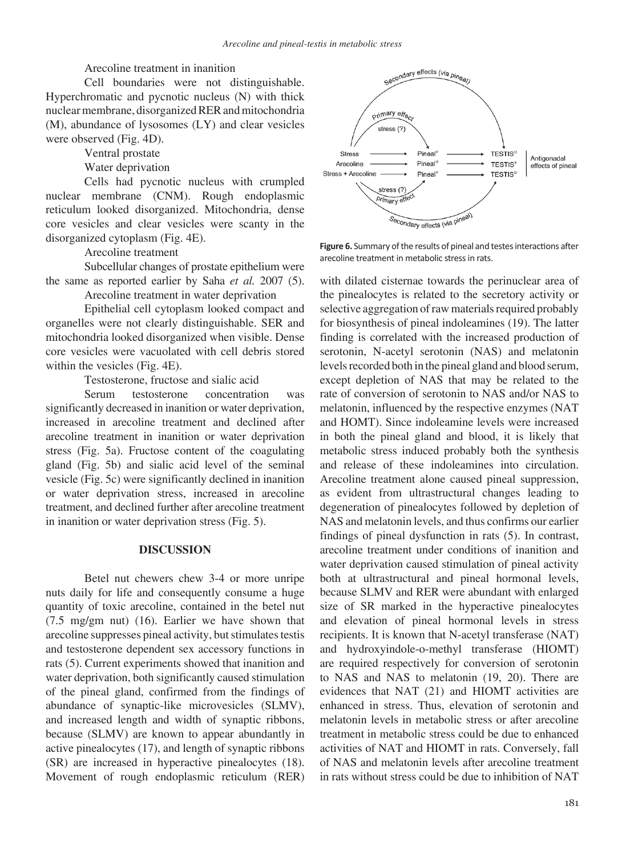Arecoline treatment in inanition

Cell boundaries were not distinguishable. Hyperchromatic and pycnotic nucleus (N) with thick nuclear membrane, disorganized RER and mitochondria (M), abundance of lysosomes (LY) and clear vesicles were observed (Fig. 4D).

Ventral prostate

Water deprivation

Cells had pycnotic nucleus with crumpled nuclear membrane (CNM). Rough endoplasmic reticulum looked disorganized. Mitochondria, dense core vesicles and clear vesicles were scanty in the disorganized cytoplasm (Fig. 4E).

Arecoline treatment

Subcellular changes of prostate epithelium were the same as reported earlier by Saha *et al.* 2007 (5).

Arecoline treatment in water deprivation

Epithelial cell cytoplasm looked compact and organelles were not clearly distinguishable. SER and mitochondria looked disorganized when visible. Dense core vesicles were vacuolated with cell debris stored within the vesicles (Fig. 4E).

Testosterone, fructose and sialic acid

Serum testosterone concentration was significantly decreased in inanition or water deprivation, increased in arecoline treatment and declined after arecoline treatment in inanition or water deprivation stress (Fig. 5a). Fructose content of the coagulating gland (Fig. 5b) and sialic acid level of the seminal vesicle (Fig. 5c) were significantly declined in inanition or water deprivation stress, increased in arecoline treatment, and declined further after arecoline treatment in inanition or water deprivation stress (Fig. 5).

## **DISCUSSION**

Betel nut chewers chew 3-4 or more unripe nuts daily for life and consequently consume a huge quantity of toxic arecoline, contained in the betel nut (7.5 mg/gm nut) (16). Earlier we have shown that arecoline suppresses pineal activity, but stimulates testis and testosterone dependent sex accessory functions in rats (5). Current experiments showed that inanition and water deprivation, both significantly caused stimulation of the pineal gland, confirmed from the findings of abundance of synaptic-like microvesicles (SLMV), and increased length and width of synaptic ribbons, because (SLMV) are known to appear abundantly in active pinealocytes (17), and length of synaptic ribbons (SR) are increased in hyperactive pinealocytes (18). Movement of rough endoplasmic reticulum (RER)



**Figure 6.** Summary of the results of pineal and testes interactions after arecoline treatment in metabolic stress in rats.

with dilated cisternae towards the perinuclear area of the pinealocytes is related to the secretory activity or selective aggregation of raw materials required probably for biosynthesis of pineal indoleamines (19). The latter finding is correlated with the increased production of serotonin, N-acetyl serotonin (NAS) and melatonin levels recorded both in the pineal gland and blood serum, except depletion of NAS that may be related to the rate of conversion of serotonin to NAS and/or NAS to melatonin, influenced by the respective enzymes (NAT and HOMT). Since indoleamine levels were increased in both the pineal gland and blood, it is likely that metabolic stress induced probably both the synthesis and release of these indoleamines into circulation. Arecoline treatment alone caused pineal suppression, as evident from ultrastructural changes leading to degeneration of pinealocytes followed by depletion of NAS and melatonin levels, and thus confirms our earlier findings of pineal dysfunction in rats (5). In contrast, arecoline treatment under conditions of inanition and water deprivation caused stimulation of pineal activity both at ultrastructural and pineal hormonal levels, because SLMV and RER were abundant with enlarged size of SR marked in the hyperactive pinealocytes and elevation of pineal hormonal levels in stress recipients. It is known that N-acetyl transferase (NAT) and hydroxyindole-o-methyl transferase (HIOMT) are required respectively for conversion of serotonin to NAS and NAS to melatonin (19, 20). There are evidences that NAT (21) and HIOMT activities are enhanced in stress. Thus, elevation of serotonin and melatonin levels in metabolic stress or after arecoline treatment in metabolic stress could be due to enhanced activities of NAT and HIOMT in rats. Conversely, fall of NAS and melatonin levels after arecoline treatment in rats without stress could be due to inhibition of NAT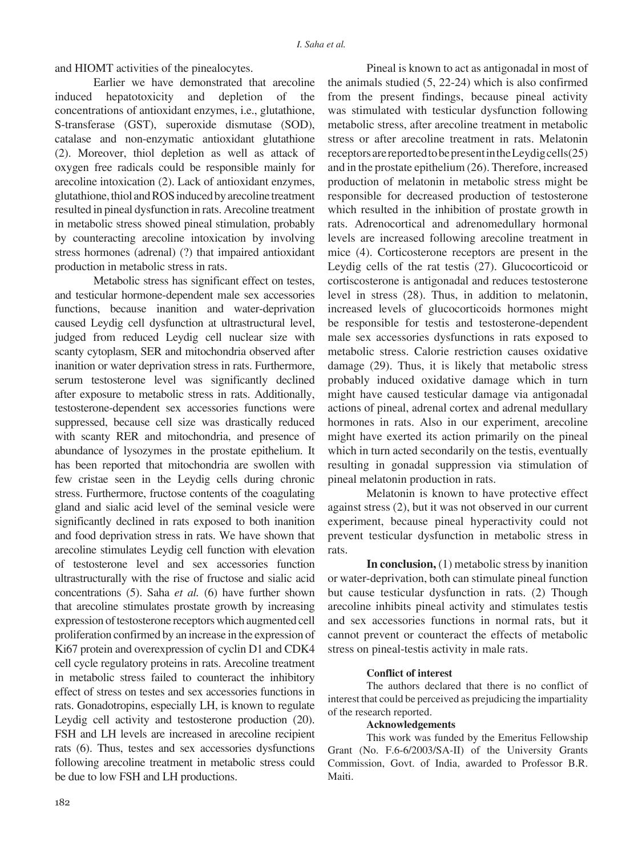and HIOMT activities of the pinealocytes.

Earlier we have demonstrated that arecoline induced hepatotoxicity and depletion of the concentrations of antioxidant enzymes, i.e., glutathione, S-transferase (GST), superoxide dismutase (SOD), catalase and non-enzymatic antioxidant glutathione (2). Moreover, thiol depletion as well as attack of oxygen free radicals could be responsible mainly for arecoline intoxication (2). Lack of antioxidant enzymes, glutathione, thiol and ROS induced by arecoline treatment resulted in pineal dysfunction in rats. Arecoline treatment in metabolic stress showed pineal stimulation, probably by counteracting arecoline intoxication by involving stress hormones (adrenal) (?) that impaired antioxidant production in metabolic stress in rats.

Metabolic stress has significant effect on testes, and testicular hormone-dependent male sex accessories functions, because inanition and water-deprivation caused Leydig cell dysfunction at ultrastructural level, judged from reduced Leydig cell nuclear size with scanty cytoplasm, SER and mitochondria observed after inanition or water deprivation stress in rats. Furthermore, serum testosterone level was significantly declined after exposure to metabolic stress in rats. Additionally, testosterone-dependent sex accessories functions were suppressed, because cell size was drastically reduced with scanty RER and mitochondria, and presence of abundance of lysozymes in the prostate epithelium. It has been reported that mitochondria are swollen with few cristae seen in the Leydig cells during chronic stress. Furthermore, fructose contents of the coagulating gland and sialic acid level of the seminal vesicle were significantly declined in rats exposed to both inanition and food deprivation stress in rats. We have shown that arecoline stimulates Leydig cell function with elevation of testosterone level and sex accessories function ultrastructurally with the rise of fructose and sialic acid concentrations (5). Saha *et al.* (6) have further shown that arecoline stimulates prostate growth by increasing expression of testosterone receptors which augmented cell proliferation confirmed by an increase in the expression of Ki67 protein and overexpression of cyclin D1 and CDK4 cell cycle regulatory proteins in rats. Arecoline treatment in metabolic stress failed to counteract the inhibitory effect of stress on testes and sex accessories functions in rats. Gonadotropins, especially LH, is known to regulate Leydig cell activity and testosterone production (20). FSH and LH levels are increased in arecoline recipient rats (6). Thus, testes and sex accessories dysfunctions following arecoline treatment in metabolic stress could be due to low FSH and LH productions.

Pineal is known to act as antigonadal in most of the animals studied (5, 22-24) which is also confirmed from the present findings, because pineal activity was stimulated with testicular dysfunction following metabolic stress, after arecoline treatment in metabolic stress or after arecoline treatment in rats. Melatonin receptors are reported to be present in the Leydig cells(25) and in the prostate epithelium (26). Therefore, increased production of melatonin in metabolic stress might be responsible for decreased production of testosterone which resulted in the inhibition of prostate growth in rats. Adrenocortical and adrenomedullary hormonal levels are increased following arecoline treatment in mice (4). Corticosterone receptors are present in the Leydig cells of the rat testis (27). Glucocorticoid or cortiscosterone is antigonadal and reduces testosterone level in stress (28). Thus, in addition to melatonin, increased levels of glucocorticoids hormones might be responsible for testis and testosterone-dependent male sex accessories dysfunctions in rats exposed to metabolic stress. Calorie restriction causes oxidative damage (29). Thus, it is likely that metabolic stress probably induced oxidative damage which in turn might have caused testicular damage via antigonadal actions of pineal, adrenal cortex and adrenal medullary hormones in rats. Also in our experiment, arecoline might have exerted its action primarily on the pineal which in turn acted secondarily on the testis, eventually resulting in gonadal suppression via stimulation of pineal melatonin production in rats.

Melatonin is known to have protective effect against stress (2), but it was not observed in our current experiment, because pineal hyperactivity could not prevent testicular dysfunction in metabolic stress in rats.

**In conclusion,** (1) metabolic stress by inanition or water-deprivation, both can stimulate pineal function but cause testicular dysfunction in rats. (2) Though arecoline inhibits pineal activity and stimulates testis and sex accessories functions in normal rats, but it cannot prevent or counteract the effects of metabolic stress on pineal-testis activity in male rats.

#### **Conflict of interest**

The authors declared that there is no conflict of interest that could be perceived as prejudicing the impartiality of the research reported.

### **Acknowledgements**

This work was funded by the Emeritus Fellowship Grant (No. F.6-6/2003/SA-II) of the University Grants Commission, Govt. of India, awarded to Professor B.R. Maiti.